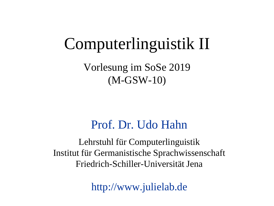## Computerlinguistik II

Vorlesung im SoSe 2019 (M-GSW-10)

#### Prof. Dr. Udo Hahn

Lehrstuhl für Computerlinguistik Institut für Germanistische Sprachwissenschaft Friedrich-Schiller-Universität Jena

http://www.julielab.de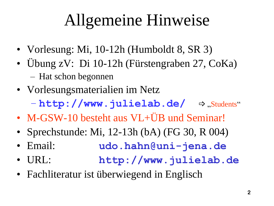# Allgemeine Hinweise

- Vorlesung: Mi, 10-12h (Humboldt 8, SR 3)
- Übung zV: Di 10-12h (Fürstengraben 27, CoKa) – Hat schon begonnen
- Vorlesungsmaterialien im Netz
	- **http://www.julielab.de/** ⇒,Students"
- M-GSW-10 besteht aus VL+ÜB und Seminar!
- Sprechstunde: Mi, 12-13h (bA) (FG 30, R 004)
- Email: **udo.hahn@uni-jena.de**
- URL: **http://www.julielab.de**
- Fachliteratur ist überwiegend in Englisch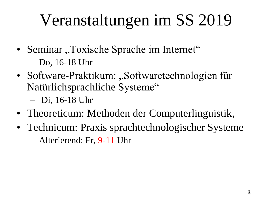# Veranstaltungen im SS 2019

- Seminar "Toxische Sprache im Internet" – Do, 16-18 Uhr
- Software-Praktikum: "Softwaretechnologien für Natürlichsprachliche Systeme"
	- Di, 16-18 Uhr
- Theoreticum: Methoden der Computerlinguistik,
- Technicum: Praxis sprachtechnologischer Systeme
	- Alterierend: Fr, 9-11 Uhr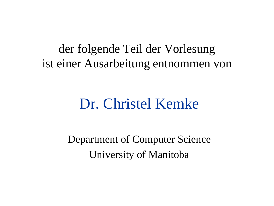der folgende Teil der Vorlesung ist einer Ausarbeitung entnommen von

## Dr. Christel Kemke

Department of Computer Science University of Manitoba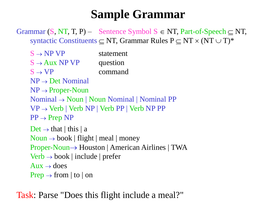#### **Sample Grammar**

Grammar  $(S, NT, T, P)$  – Sentence Symbol  $S \in NT$ , Part-of-Speech  $\subset NT$ , syntactic Constituents  $\subseteq$  NT, Grammar Rules  $P \subseteq NT \times (NT \cup T)^*$ 

 $S \rightarrow NP VP$  statement  $S \rightarrow Aux NP VP$  question  $S \rightarrow VP$  command

 $NP \rightarrow Det$  Nominal

 $NP \rightarrow Property$ -Noun

 $Nominal \rightarrow Noun \mid Noun \; Nominal \mid Nominal \; PP$ 

 $VP \rightarrow Verb \mid Verb \r{NP} \mid Verb \r{PP} \mid Verb \r{NP} \r{PP}$ 

 $PP \rightarrow Prep NP$ 

 $Det \rightarrow that$  | this | a

 $Noun \rightarrow book$  | flight | meal | money

 $Proper-Noun \rightarrow Houston | American Airlines | TWA$ 

 $Verb \rightarrow book | include | prefer$ 

 $Aux \rightarrow$  does

 $Prep \rightarrow from \mid to \mid on$ 

Task: Parse "Does this flight include a meal?"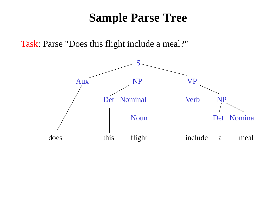#### **Sample Parse Tree**

Task: Parse "Does this flight include a meal?"

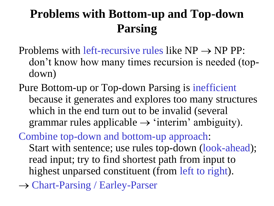## **Problems with Bottom-up and Top-down Parsing**

- Problems with left-recursive rules like  $NP \rightarrow NP PP$ : don't know how many times recursion is needed (topdown)
- Pure Bottom-up or Top-down Parsing is inefficient because it generates and explores too many structures which in the end turn out to be invalid (several grammar rules applicable  $\rightarrow$  'interim' ambiguity).

Combine top-down and bottom-up approach: Start with sentence; use rules top-down (look-ahead); read input; try to find shortest path from input to highest unparsed constituent (from left to right).

→ Chart-Parsing / Earley-Parser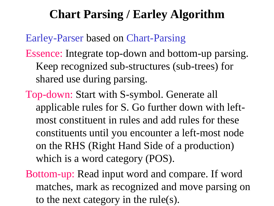#### **Chart Parsing / Earley Algorithm**

Earley-Parser based on Chart-Parsing

- Essence: Integrate top-down and bottom-up parsing. Keep recognized sub-structures (sub-trees) for shared use during parsing.
- Top-down: Start with S-symbol. Generate all applicable rules for S. Go further down with leftmost constituent in rules and add rules for these constituents until you encounter a left-most node on the RHS (Right Hand Side of a production) which is a word category (POS).
- Bottom-up: Read input word and compare. If word matches, mark as recognized and move parsing on to the next category in the rule(s).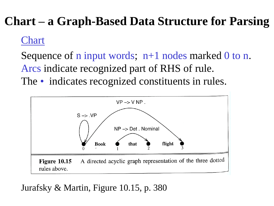## **Chart – a Graph-Based Data Structure for Parsing**

#### Chart

Sequence of n input words;  $n+1$  nodes marked 0 to n. Arcs indicate recognized part of RHS of rule.

The • indicates recognized constituents in rules.



Jurafsky & Martin, Figure 10.15, p. 380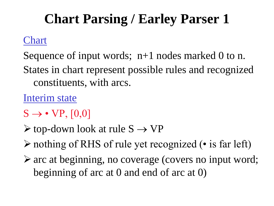## **Chart Parsing / Earley Parser 1**

#### Chart

Sequence of input words;  $n+1$  nodes marked 0 to n. States in chart represent possible rules and recognized constituents, with arcs.

Interim state

- $S \rightarrow \cdot VP, [0,0]$
- $\triangleright$  top-down look at rule  $S \rightarrow VP$
- nothing of RHS of rule yet recognized (• is far left)
- arc at beginning, no coverage (covers no input word; beginning of arc at 0 and end of arc at 0)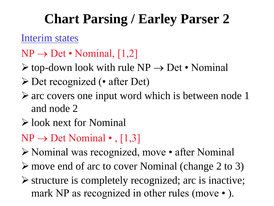## **Chart Parsing / Earley Parser 2**

Interim states

- $NP \rightarrow Det \cdot Nominal$ , [1,2]
- $\triangleright$  top-down look with rule NP  $\rightarrow$  Det Nominal
- Det recognized (• after Det)
- $\triangleright$  arc covers one input word which is between node 1 and node 2
- look next for Nominal
- $NP \rightarrow Det$  Nominal •, [1,3]
- Nominal was recognized, move after Nominal
- move end of arc to cover Nominal (change 2 to 3)
- $\triangleright$  structure is completely recognized; arc is inactive; mark NP as recognized in other rules (move • ).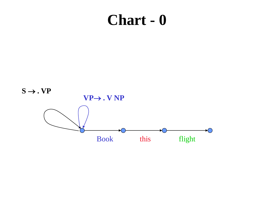## **Chart - 0**

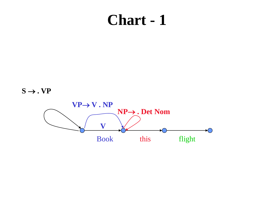## **Chart - 1**

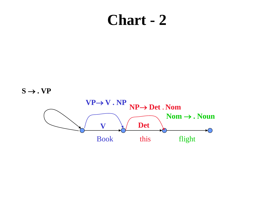### **Chart - 2**

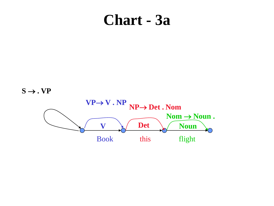### **Chart - 3a**

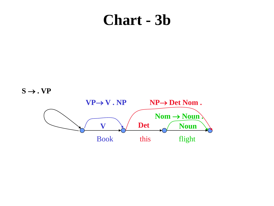## **Chart - 3b**

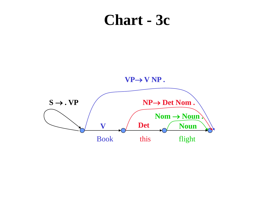### **Chart - 3c**

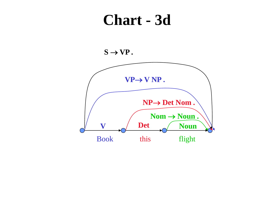### **Chart - 3d**



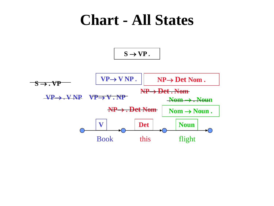## **Chart - All States**

 $S \rightarrow VP$ .

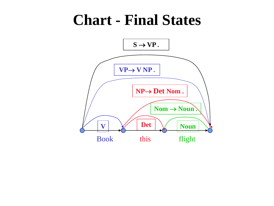## **Chart - Final States**

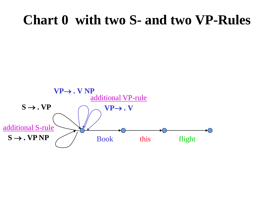#### **Chart 0 with two S- and two VP-Rules**

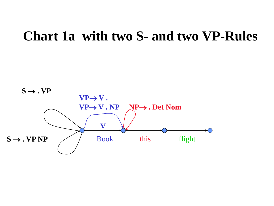#### **Chart 1a with two S- and two VP-Rules**

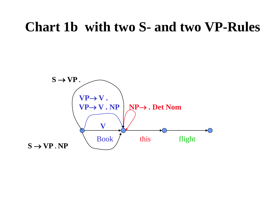#### **Chart 1b with two S- and two VP-Rules**

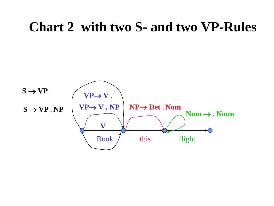#### **Chart 2 with two S- and two VP-Rules**

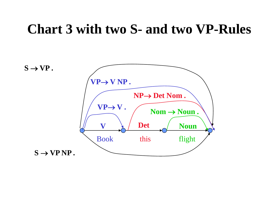#### **Chart 3 with two S- and two VP-Rules**

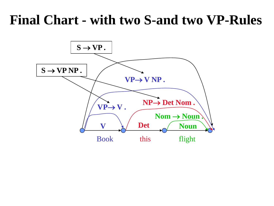## **Final Chart - with two S-and two VP-Rules**

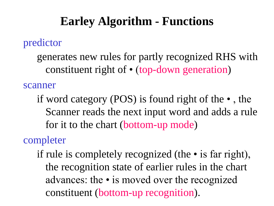#### **Earley Algorithm - Functions**

#### predictor

generates new rules for partly recognized RHS with constituent right of • (top-down generation)

scanner

if word category (POS) is found right of the • , the Scanner reads the next input word and adds a rule for it to the chart (bottom-up mode)

#### completer

if rule is completely recognized (the • is far right), the recognition state of earlier rules in the chart advances: the • is moved over the recognized constituent (bottom-up recognition).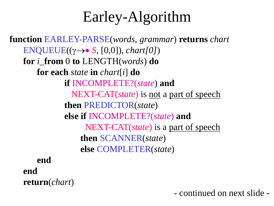## Earley-Algorithm

**function** EARLEY-PARSE(*words, grammar*) **returns** *chart*  $ENQUEUE(( \gamma \rightarrow \bullet S, [0,0]), chart[0])$ **for** *i*\_**from** 0 **to** LENGTH(*words*) **do for each** *state* **in** *chart*[*i*] **do if** INCOMPLETE?(*state*) **and** NEXT-CAT(*state*) is not a part of speech **then** PREDICTOR(*state*) **else if** INCOMPLETE?(*state*) **and** NEXT-CAT(*state*) is a part of speech **then** SCANNER(*state*) **else** COMPLETER(*state*) **end**

**end return**(*chart*)

- continued on next slide -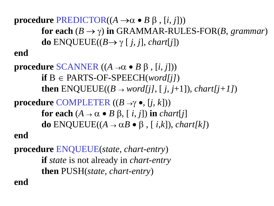**procedure PREDICTOR(** $(A \rightarrow \alpha \bullet B \beta, [i, j])$ **) for each**  $(B \to \gamma)$  in GRAMMAR-RULES-FOR(*B*, *grammar*) **do**  $ENQUEUE((B \rightarrow \gamma \lceil j, j], chart[j])$ **end**

**procedure SCANNER**  $((A \rightarrow \alpha \bullet B \beta, [i, j]))$  $if B \in PARTS-OF-SPEECH(*word[j]*)$ **then**  $ENQUEUE((B \rightarrow word[i], [i, j+1]), chart[j+1])$ **procedure COMPLETER**  $((B \rightarrow \gamma \bullet, [i, k]))$ 

> **for each**  $(A \rightarrow \alpha \bullet B \beta, [i, j])$  in *chart*[*j*] **do** ENQUEUE( $(A \rightarrow \alpha B \bullet \beta, [i,k])$ , *chart*[k])

**end**

**procedure** ENQUEUE(*state, chart-entry*) **if** *state* is not already in *chart-entry*  **then** PUSH(*state, chart-entry*)

**end**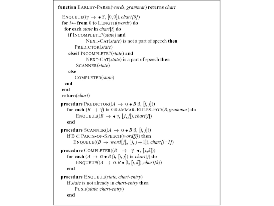```
function EARLEY-PARSE(words, grammar) returns chart
 ENQUEUE((\gamma \rightarrow \bullet S, [0, 0]), \text{chart}[0])for i \leftarrow from 0 to LENGTH(words) do
  for each state in chart[i] do
    if INCOMPLETE?(state) and
              NEXT-CAT(state) is not a part of speech then
        PREDICTOR(state)
     elseif INCOMPLETE?(state) and
              NEXT-CAT(state) is a part of speech then
         SCANNER(state)
    else
        COMPLETER(state)
  end
 end
 return(chart)
procedure PREDICTOR((A \rightarrow \alpha \bullet B \beta, [i, j]))
    for each (B \to \gamma) in GRAMMAR-RULES-FOR(B, grammar) do
         ENQUEUE(B \to \bullet \gamma, [j, j]), chart[j])
    end
procedure SCANNER((A \rightarrow \alpha \bullet B \beta, [i, j]))
    if B \subset PARTS-OF-SPEECH(word[j]) then
       ENQUEUE((B \rightarrow word[j], [j, j+1]), chart[j+1])procedure COMPLETER((B \rightarrow \gamma \bullet, [j,k]))
    for each (A \rightarrow \alpha \bullet B \beta, [i, j]) in chart[j] do
         ENQUEUE((A \rightarrow \alpha B \bullet \beta, [i,k]), chart[k])
    enc
procedure ENQUEUE(state, chart-entry)
    if state is not already in chart-entry then
        PUSH(state, chart-entry)
    end
```